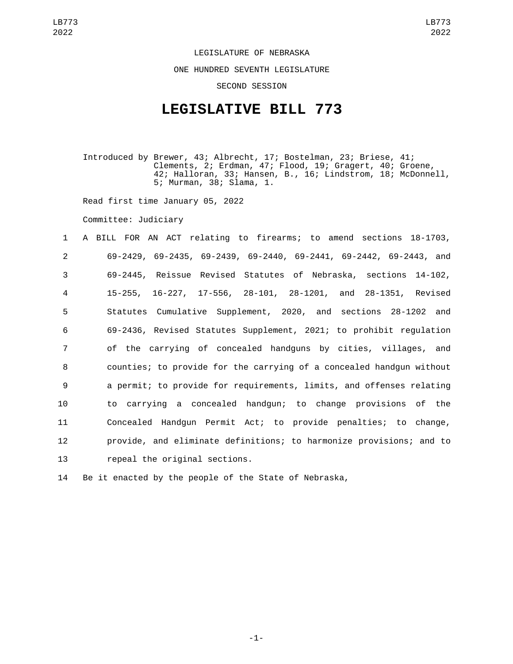LEGISLATURE OF NEBRASKA ONE HUNDRED SEVENTH LEGISLATURE SECOND SESSION

## **LEGISLATIVE BILL 773**

Introduced by Brewer, 43; Albrecht, 17; Bostelman, 23; Briese, 41; Clements, 2; Erdman, 47; Flood, 19; Gragert, 40; Groene, 42; Halloran, 33; Hansen, B., 16; Lindstrom, 18; McDonnell, 5; Murman, 38; Slama, 1.

Read first time January 05, 2022

Committee: Judiciary

 A BILL FOR AN ACT relating to firearms; to amend sections 18-1703, 69-2429, 69-2435, 69-2439, 69-2440, 69-2441, 69-2442, 69-2443, and 69-2445, Reissue Revised Statutes of Nebraska, sections 14-102, 15-255, 16-227, 17-556, 28-101, 28-1201, and 28-1351, Revised Statutes Cumulative Supplement, 2020, and sections 28-1202 and 69-2436, Revised Statutes Supplement, 2021; to prohibit regulation of the carrying of concealed handguns by cities, villages, and counties; to provide for the carrying of a concealed handgun without a permit; to provide for requirements, limits, and offenses relating to carrying a concealed handgun; to change provisions of the Concealed Handgun Permit Act; to provide penalties; to change, provide, and eliminate definitions; to harmonize provisions; and to 13 repeal the original sections.

14 Be it enacted by the people of the State of Nebraska,

-1-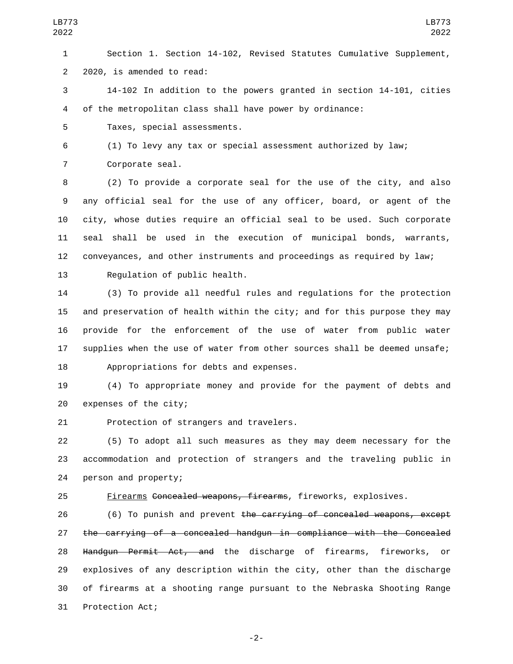5 Taxes, special assessments.

6 (1) To levy any tax or special assessment authorized by law;

7 Corporate seal.

 (2) To provide a corporate seal for the use of the city, and also any official seal for the use of any officer, board, or agent of the city, whose duties require an official seal to be used. Such corporate seal shall be used in the execution of municipal bonds, warrants, conveyances, and other instruments and proceedings as required by law;

LB773 2022

13 Requlation of public health.

 (3) To provide all needful rules and regulations for the protection and preservation of health within the city; and for this purpose they may provide for the enforcement of the use of water from public water supplies when the use of water from other sources shall be deemed unsafe; 18 Appropriations for debts and expenses.

19 (4) To appropriate money and provide for the payment of debts and 20 expenses of the city;

21 Protection of strangers and travelers.

22 (5) To adopt all such measures as they may deem necessary for the 23 accommodation and protection of strangers and the traveling public in 24 person and property;

25 Firearms Concealed weapons, firearms, fireworks, explosives.

26 (6) To punish and prevent the carrying of concealed weapons, except 27 the carrying of a concealed handgun in compliance with the Concealed 28 Handgun Permit Act, and the discharge of firearms, fireworks, or 29 explosives of any description within the city, other than the discharge 30 of firearms at a shooting range pursuant to the Nebraska Shooting Range 31 Protection Act;

-2-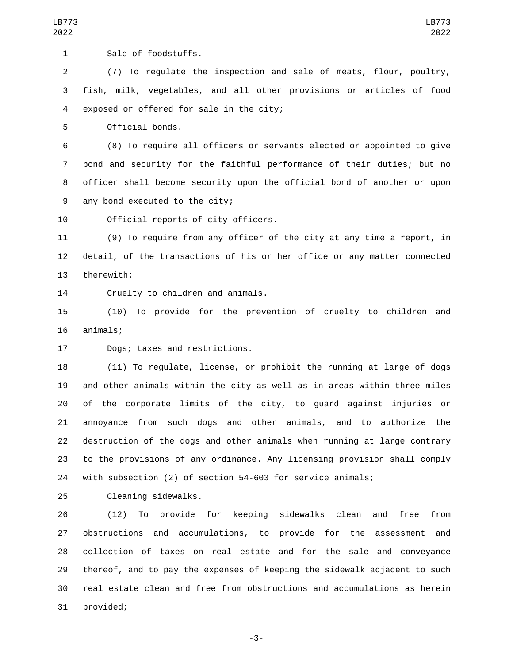1 Sale of foodstuffs.

 (7) To regulate the inspection and sale of meats, flour, poultry, fish, milk, vegetables, and all other provisions or articles of food 4 exposed or offered for sale in the city;

5 Official bonds.

 (8) To require all officers or servants elected or appointed to give bond and security for the faithful performance of their duties; but no officer shall become security upon the official bond of another or upon 9 any bond executed to the city;

10 Official reports of city officers.

 (9) To require from any officer of the city at any time a report, in detail, of the transactions of his or her office or any matter connected 13 therewith;

14 Cruelty to children and animals.

 (10) To provide for the prevention of cruelty to children and 16 animals;

17 Dogs; taxes and restrictions.

 (11) To regulate, license, or prohibit the running at large of dogs and other animals within the city as well as in areas within three miles of the corporate limits of the city, to guard against injuries or annoyance from such dogs and other animals, and to authorize the destruction of the dogs and other animals when running at large contrary to the provisions of any ordinance. Any licensing provision shall comply with subsection (2) of section 54-603 for service animals;

25 Cleaning sidewalks.

 (12) To provide for keeping sidewalks clean and free from obstructions and accumulations, to provide for the assessment and collection of taxes on real estate and for the sale and conveyance thereof, and to pay the expenses of keeping the sidewalk adjacent to such real estate clean and free from obstructions and accumulations as herein 31 provided;

-3-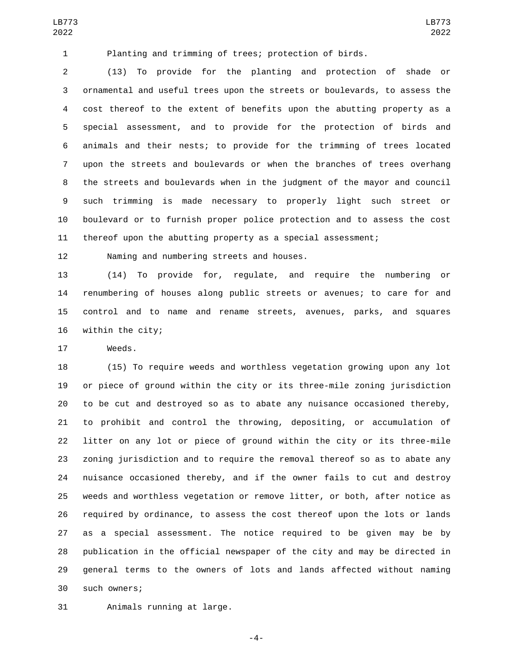Planting and trimming of trees; protection of birds.

 (13) To provide for the planting and protection of shade or ornamental and useful trees upon the streets or boulevards, to assess the cost thereof to the extent of benefits upon the abutting property as a special assessment, and to provide for the protection of birds and animals and their nests; to provide for the trimming of trees located upon the streets and boulevards or when the branches of trees overhang the streets and boulevards when in the judgment of the mayor and council such trimming is made necessary to properly light such street or boulevard or to furnish proper police protection and to assess the cost thereof upon the abutting property as a special assessment;

LB773 

12 Naming and numbering streets and houses.

 (14) To provide for, regulate, and require the numbering or renumbering of houses along public streets or avenues; to care for and control and to name and rename streets, avenues, parks, and squares 16 within the city;

17 Weeds.

 (15) To require weeds and worthless vegetation growing upon any lot or piece of ground within the city or its three-mile zoning jurisdiction to be cut and destroyed so as to abate any nuisance occasioned thereby, to prohibit and control the throwing, depositing, or accumulation of litter on any lot or piece of ground within the city or its three-mile zoning jurisdiction and to require the removal thereof so as to abate any nuisance occasioned thereby, and if the owner fails to cut and destroy weeds and worthless vegetation or remove litter, or both, after notice as required by ordinance, to assess the cost thereof upon the lots or lands as a special assessment. The notice required to be given may be by publication in the official newspaper of the city and may be directed in general terms to the owners of lots and lands affected without naming such owners;30

31 Animals running at large.

-4-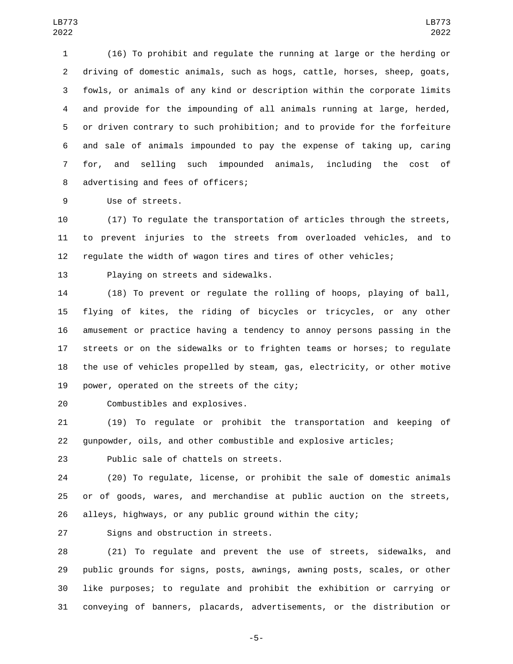(16) To prohibit and regulate the running at large or the herding or driving of domestic animals, such as hogs, cattle, horses, sheep, goats, fowls, or animals of any kind or description within the corporate limits and provide for the impounding of all animals running at large, herded, or driven contrary to such prohibition; and to provide for the forfeiture and sale of animals impounded to pay the expense of taking up, caring for, and selling such impounded animals, including the cost of 8 advertising and fees of officers;

9 Use of streets.

 (17) To regulate the transportation of articles through the streets, to prevent injuries to the streets from overloaded vehicles, and to regulate the width of wagon tires and tires of other vehicles;

13 Playing on streets and sidewalks.

 (18) To prevent or regulate the rolling of hoops, playing of ball, flying of kites, the riding of bicycles or tricycles, or any other amusement or practice having a tendency to annoy persons passing in the streets or on the sidewalks or to frighten teams or horses; to regulate the use of vehicles propelled by steam, gas, electricity, or other motive 19 power, operated on the streets of the city;

20 Combustibles and explosives.

 (19) To regulate or prohibit the transportation and keeping of gunpowder, oils, and other combustible and explosive articles;

23 Public sale of chattels on streets.

 (20) To regulate, license, or prohibit the sale of domestic animals or of goods, wares, and merchandise at public auction on the streets, alleys, highways, or any public ground within the city;

27 Signs and obstruction in streets.

 (21) To regulate and prevent the use of streets, sidewalks, and public grounds for signs, posts, awnings, awning posts, scales, or other like purposes; to regulate and prohibit the exhibition or carrying or conveying of banners, placards, advertisements, or the distribution or

-5-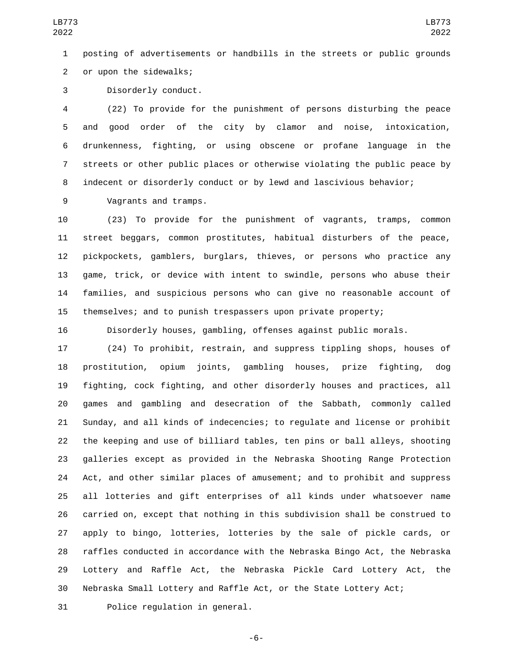posting of advertisements or handbills in the streets or public grounds 2 or upon the sidewalks;

3 Disorderly conduct.

 (22) To provide for the punishment of persons disturbing the peace and good order of the city by clamor and noise, intoxication, drunkenness, fighting, or using obscene or profane language in the streets or other public places or otherwise violating the public peace by indecent or disorderly conduct or by lewd and lascivious behavior;

9 Vagrants and tramps.

 (23) To provide for the punishment of vagrants, tramps, common street beggars, common prostitutes, habitual disturbers of the peace, pickpockets, gamblers, burglars, thieves, or persons who practice any game, trick, or device with intent to swindle, persons who abuse their families, and suspicious persons who can give no reasonable account of themselves; and to punish trespassers upon private property;

Disorderly houses, gambling, offenses against public morals.

 (24) To prohibit, restrain, and suppress tippling shops, houses of prostitution, opium joints, gambling houses, prize fighting, dog fighting, cock fighting, and other disorderly houses and practices, all games and gambling and desecration of the Sabbath, commonly called Sunday, and all kinds of indecencies; to regulate and license or prohibit the keeping and use of billiard tables, ten pins or ball alleys, shooting galleries except as provided in the Nebraska Shooting Range Protection Act, and other similar places of amusement; and to prohibit and suppress all lotteries and gift enterprises of all kinds under whatsoever name carried on, except that nothing in this subdivision shall be construed to apply to bingo, lotteries, lotteries by the sale of pickle cards, or raffles conducted in accordance with the Nebraska Bingo Act, the Nebraska Lottery and Raffle Act, the Nebraska Pickle Card Lottery Act, the Nebraska Small Lottery and Raffle Act, or the State Lottery Act;

31 Police requlation in general.

-6-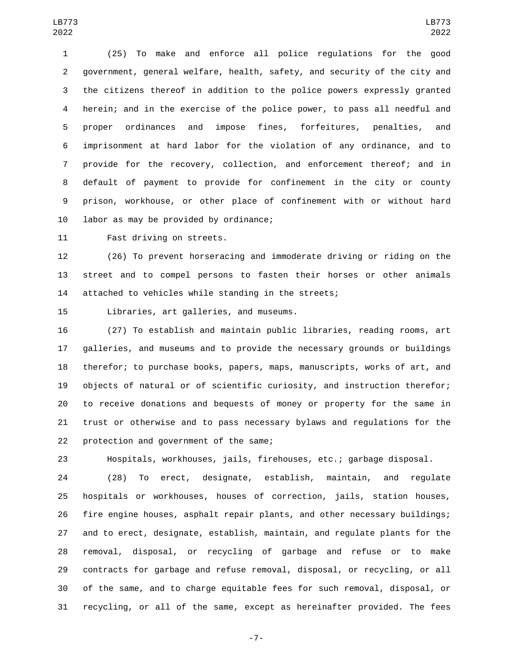(25) To make and enforce all police regulations for the good government, general welfare, health, safety, and security of the city and the citizens thereof in addition to the police powers expressly granted herein; and in the exercise of the police power, to pass all needful and proper ordinances and impose fines, forfeitures, penalties, and imprisonment at hard labor for the violation of any ordinance, and to provide for the recovery, collection, and enforcement thereof; and in default of payment to provide for confinement in the city or county prison, workhouse, or other place of confinement with or without hard 10 labor as may be provided by ordinance;

11 Fast driving on streets.

 (26) To prevent horseracing and immoderate driving or riding on the street and to compel persons to fasten their horses or other animals attached to vehicles while standing in the streets;

15 Libraries, art galleries, and museums.

 (27) To establish and maintain public libraries, reading rooms, art galleries, and museums and to provide the necessary grounds or buildings therefor; to purchase books, papers, maps, manuscripts, works of art, and objects of natural or of scientific curiosity, and instruction therefor; to receive donations and bequests of money or property for the same in trust or otherwise and to pass necessary bylaws and regulations for the 22 protection and government of the same;

Hospitals, workhouses, jails, firehouses, etc.; garbage disposal.

 (28) To erect, designate, establish, maintain, and regulate hospitals or workhouses, houses of correction, jails, station houses, fire engine houses, asphalt repair plants, and other necessary buildings; and to erect, designate, establish, maintain, and regulate plants for the removal, disposal, or recycling of garbage and refuse or to make contracts for garbage and refuse removal, disposal, or recycling, or all of the same, and to charge equitable fees for such removal, disposal, or recycling, or all of the same, except as hereinafter provided. The fees

-7-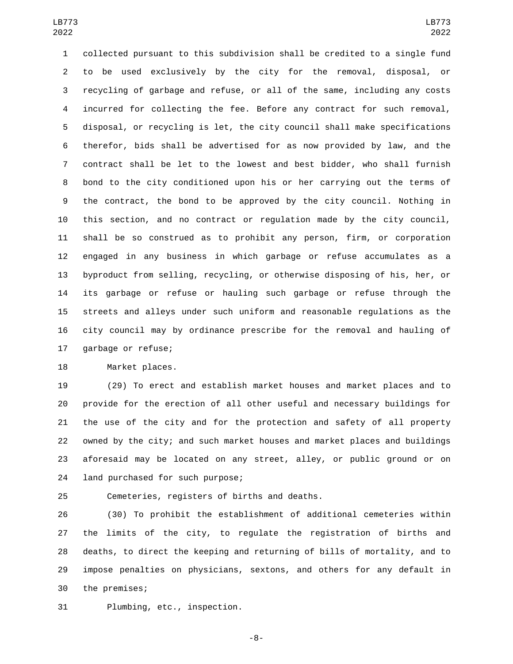collected pursuant to this subdivision shall be credited to a single fund to be used exclusively by the city for the removal, disposal, or recycling of garbage and refuse, or all of the same, including any costs incurred for collecting the fee. Before any contract for such removal, disposal, or recycling is let, the city council shall make specifications therefor, bids shall be advertised for as now provided by law, and the contract shall be let to the lowest and best bidder, who shall furnish bond to the city conditioned upon his or her carrying out the terms of the contract, the bond to be approved by the city council. Nothing in this section, and no contract or regulation made by the city council, shall be so construed as to prohibit any person, firm, or corporation engaged in any business in which garbage or refuse accumulates as a byproduct from selling, recycling, or otherwise disposing of his, her, or its garbage or refuse or hauling such garbage or refuse through the streets and alleys under such uniform and reasonable regulations as the city council may by ordinance prescribe for the removal and hauling of 17 garbage or refuse;

18 Market places.

 (29) To erect and establish market houses and market places and to provide for the erection of all other useful and necessary buildings for the use of the city and for the protection and safety of all property owned by the city; and such market houses and market places and buildings aforesaid may be located on any street, alley, or public ground or on 24 land purchased for such purpose;

25 Cemeteries, registers of births and deaths.

 (30) To prohibit the establishment of additional cemeteries within the limits of the city, to regulate the registration of births and deaths, to direct the keeping and returning of bills of mortality, and to impose penalties on physicians, sextons, and others for any default in 30 the premises;

31 Plumbing, etc., inspection.

-8-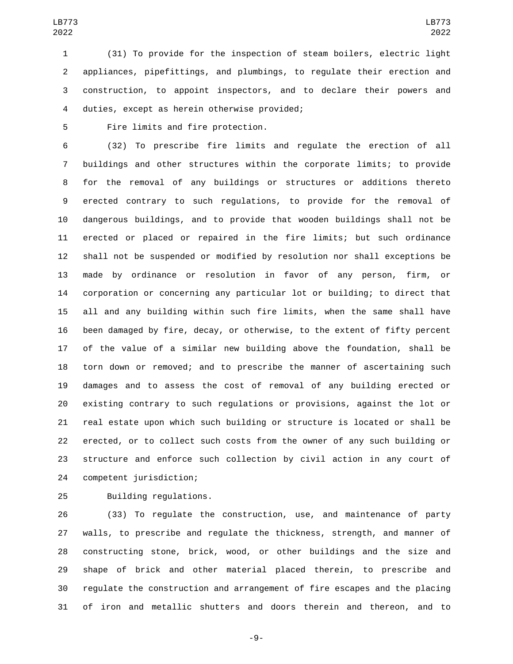(31) To provide for the inspection of steam boilers, electric light appliances, pipefittings, and plumbings, to regulate their erection and construction, to appoint inspectors, and to declare their powers and duties, except as herein otherwise provided;4

5 Fire limits and fire protection.

 (32) To prescribe fire limits and regulate the erection of all buildings and other structures within the corporate limits; to provide for the removal of any buildings or structures or additions thereto erected contrary to such regulations, to provide for the removal of dangerous buildings, and to provide that wooden buildings shall not be erected or placed or repaired in the fire limits; but such ordinance shall not be suspended or modified by resolution nor shall exceptions be made by ordinance or resolution in favor of any person, firm, or corporation or concerning any particular lot or building; to direct that all and any building within such fire limits, when the same shall have been damaged by fire, decay, or otherwise, to the extent of fifty percent of the value of a similar new building above the foundation, shall be torn down or removed; and to prescribe the manner of ascertaining such damages and to assess the cost of removal of any building erected or existing contrary to such regulations or provisions, against the lot or real estate upon which such building or structure is located or shall be erected, or to collect such costs from the owner of any such building or structure and enforce such collection by civil action in any court of 24 competent jurisdiction;

25 Building regulations.

 (33) To regulate the construction, use, and maintenance of party walls, to prescribe and regulate the thickness, strength, and manner of constructing stone, brick, wood, or other buildings and the size and shape of brick and other material placed therein, to prescribe and regulate the construction and arrangement of fire escapes and the placing of iron and metallic shutters and doors therein and thereon, and to

-9-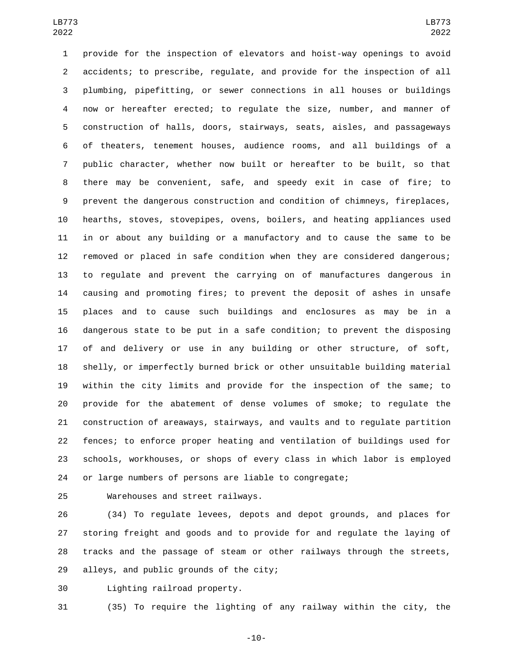provide for the inspection of elevators and hoist-way openings to avoid accidents; to prescribe, regulate, and provide for the inspection of all plumbing, pipefitting, or sewer connections in all houses or buildings now or hereafter erected; to regulate the size, number, and manner of construction of halls, doors, stairways, seats, aisles, and passageways of theaters, tenement houses, audience rooms, and all buildings of a public character, whether now built or hereafter to be built, so that there may be convenient, safe, and speedy exit in case of fire; to prevent the dangerous construction and condition of chimneys, fireplaces, hearths, stoves, stovepipes, ovens, boilers, and heating appliances used in or about any building or a manufactory and to cause the same to be removed or placed in safe condition when they are considered dangerous; to regulate and prevent the carrying on of manufactures dangerous in causing and promoting fires; to prevent the deposit of ashes in unsafe places and to cause such buildings and enclosures as may be in a dangerous state to be put in a safe condition; to prevent the disposing of and delivery or use in any building or other structure, of soft, shelly, or imperfectly burned brick or other unsuitable building material within the city limits and provide for the inspection of the same; to provide for the abatement of dense volumes of smoke; to regulate the construction of areaways, stairways, and vaults and to regulate partition fences; to enforce proper heating and ventilation of buildings used for schools, workhouses, or shops of every class in which labor is employed or large numbers of persons are liable to congregate;

25 Warehouses and street railways.

 (34) To regulate levees, depots and depot grounds, and places for storing freight and goods and to provide for and regulate the laying of tracks and the passage of steam or other railways through the streets, 29 alleys, and public grounds of the city;

Lighting railroad property.30

(35) To require the lighting of any railway within the city, the

-10-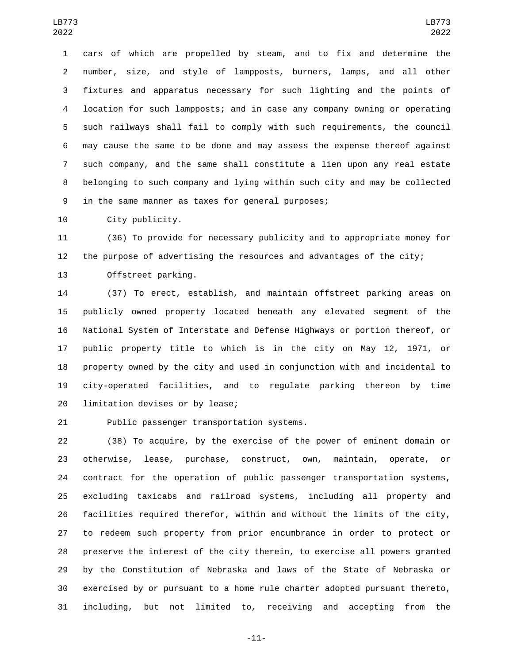cars of which are propelled by steam, and to fix and determine the number, size, and style of lampposts, burners, lamps, and all other fixtures and apparatus necessary for such lighting and the points of location for such lampposts; and in case any company owning or operating such railways shall fail to comply with such requirements, the council may cause the same to be done and may assess the expense thereof against such company, and the same shall constitute a lien upon any real estate belonging to such company and lying within such city and may be collected 9 in the same manner as taxes for general purposes;

10 City publicity.

 (36) To provide for necessary publicity and to appropriate money for the purpose of advertising the resources and advantages of the city; 13 Offstreet parking.

 (37) To erect, establish, and maintain offstreet parking areas on publicly owned property located beneath any elevated segment of the National System of Interstate and Defense Highways or portion thereof, or public property title to which is in the city on May 12, 1971, or property owned by the city and used in conjunction with and incidental to city-operated facilities, and to regulate parking thereon by time 20 limitation devises or by lease;

21 Public passenger transportation systems.

 (38) To acquire, by the exercise of the power of eminent domain or otherwise, lease, purchase, construct, own, maintain, operate, or contract for the operation of public passenger transportation systems, excluding taxicabs and railroad systems, including all property and facilities required therefor, within and without the limits of the city, to redeem such property from prior encumbrance in order to protect or preserve the interest of the city therein, to exercise all powers granted by the Constitution of Nebraska and laws of the State of Nebraska or exercised by or pursuant to a home rule charter adopted pursuant thereto, including, but not limited to, receiving and accepting from the

-11-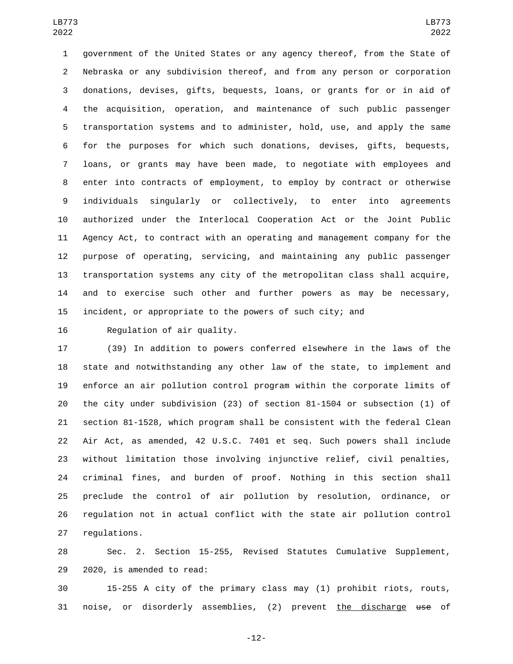government of the United States or any agency thereof, from the State of Nebraska or any subdivision thereof, and from any person or corporation donations, devises, gifts, bequests, loans, or grants for or in aid of the acquisition, operation, and maintenance of such public passenger transportation systems and to administer, hold, use, and apply the same for the purposes for which such donations, devises, gifts, bequests, loans, or grants may have been made, to negotiate with employees and enter into contracts of employment, to employ by contract or otherwise individuals singularly or collectively, to enter into agreements authorized under the Interlocal Cooperation Act or the Joint Public Agency Act, to contract with an operating and management company for the purpose of operating, servicing, and maintaining any public passenger transportation systems any city of the metropolitan class shall acquire, and to exercise such other and further powers as may be necessary, incident, or appropriate to the powers of such city; and

16 Requlation of air quality.

 (39) In addition to powers conferred elsewhere in the laws of the state and notwithstanding any other law of the state, to implement and enforce an air pollution control program within the corporate limits of the city under subdivision (23) of section 81-1504 or subsection (1) of section 81-1528, which program shall be consistent with the federal Clean Air Act, as amended, 42 U.S.C. 7401 et seq. Such powers shall include without limitation those involving injunctive relief, civil penalties, criminal fines, and burden of proof. Nothing in this section shall preclude the control of air pollution by resolution, ordinance, or regulation not in actual conflict with the state air pollution control 27 regulations.

 Sec. 2. Section 15-255, Revised Statutes Cumulative Supplement, 29 2020, is amended to read:

 15-255 A city of the primary class may (1) prohibit riots, routs, 31 noise, or disorderly assemblies, (2) prevent the discharge use of

-12-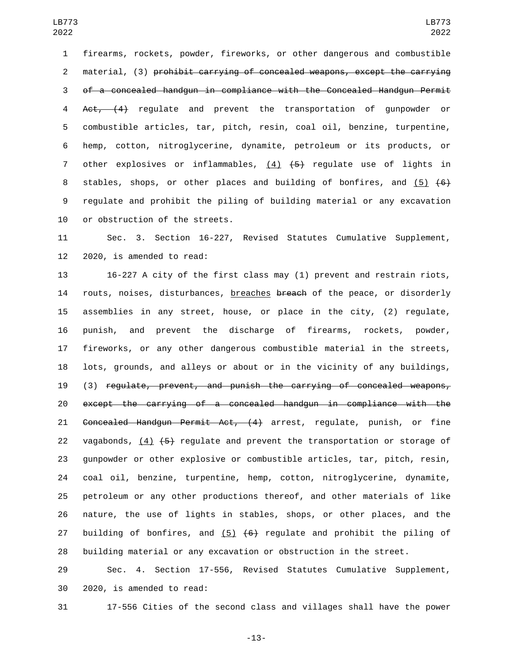firearms, rockets, powder, fireworks, or other dangerous and combustible material, (3) prohibit carrying of concealed weapons, except the carrying of a concealed handgun in compliance with the Concealed Handgun Permit Act, (4) regulate and prevent the transportation of gunpowder or combustible articles, tar, pitch, resin, coal oil, benzine, turpentine, hemp, cotton, nitroglycerine, dynamite, petroleum or its products, or 7 other explosives or inflammables,  $(4)$   $(5)$  regulate use of lights in 8 stables, shops, or other places and building of bonfires, and (5)  $\{6\}$  regulate and prohibit the piling of building material or any excavation 10 or obstruction of the streets.

 Sec. 3. Section 16-227, Revised Statutes Cumulative Supplement, 2020, is amended to read:

 16-227 A city of the first class may (1) prevent and restrain riots, 14 routs, noises, disturbances, breaches breach of the peace, or disorderly assemblies in any street, house, or place in the city, (2) regulate, punish, and prevent the discharge of firearms, rockets, powder, fireworks, or any other dangerous combustible material in the streets, lots, grounds, and alleys or about or in the vicinity of any buildings, (3) regulate, prevent, and punish the carrying of concealed weapons, except the carrying of a concealed handgun in compliance with the Concealed Handgun Permit Act, (4) arrest, regulate, punish, or fine 22 vagabonds,  $(4)$   $(5)$  regulate and prevent the transportation or storage of gunpowder or other explosive or combustible articles, tar, pitch, resin, coal oil, benzine, turpentine, hemp, cotton, nitroglycerine, dynamite, petroleum or any other productions thereof, and other materials of like nature, the use of lights in stables, shops, or other places, and the 27 building of bonfires, and  $(5)$   $(6)$  regulate and prohibit the piling of building material or any excavation or obstruction in the street.

 Sec. 4. Section 17-556, Revised Statutes Cumulative Supplement, 30 2020, is amended to read:

17-556 Cities of the second class and villages shall have the power

-13-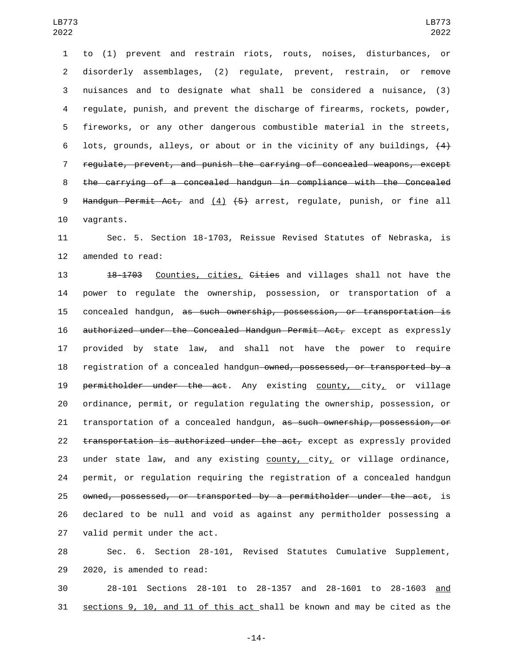to (1) prevent and restrain riots, routs, noises, disturbances, or disorderly assemblages, (2) regulate, prevent, restrain, or remove nuisances and to designate what shall be considered a nuisance, (3) regulate, punish, and prevent the discharge of firearms, rockets, powder, fireworks, or any other dangerous combustible material in the streets, 6 lots, grounds, alleys, or about or in the vicinity of any buildings,  $\{4\}$  regulate, prevent, and punish the carrying of concealed weapons, except the carrying of a concealed handgun in compliance with the Concealed 9 Handgun Permit Act, and  $(4)$   $(5)$  arrest, regulate, punish, or fine all 10 vagrants.

11 Sec. 5. Section 18-1703, Reissue Revised Statutes of Nebraska, is 12 amended to read:

13 18-1703 Counties, cities, Cities and villages shall not have the 14 power to regulate the ownership, possession, or transportation of a 15 concealed handgun, as such ownership, possession, or transportation is 16 authorized under the Concealed Handgun Permit Act, except as expressly 17 provided by state law, and shall not have the power to require 18 registration of a concealed handgun owned, possessed, or transported by a 19 permitholder under the act. Any existing county, city, or village 20 ordinance, permit, or regulation regulating the ownership, possession, or 21 transportation of a concealed handgun, as such ownership, possession, or 22 transportation is authorized under the act, except as expressly provided 23 under state law, and any existing  $county, city$  or village ordinance, 24 permit, or regulation requiring the registration of a concealed handgun 25 owned, possessed, or transported by a permitholder under the act, is 26 declared to be null and void as against any permitholder possessing a 27 valid permit under the act.

28 Sec. 6. Section 28-101, Revised Statutes Cumulative Supplement, 29 2020, is amended to read:

30 28-101 Sections 28-101 to 28-1357 and 28-1601 to 28-1603 and 31 sections 9, 10, and 11 of this act shall be known and may be cited as the

-14-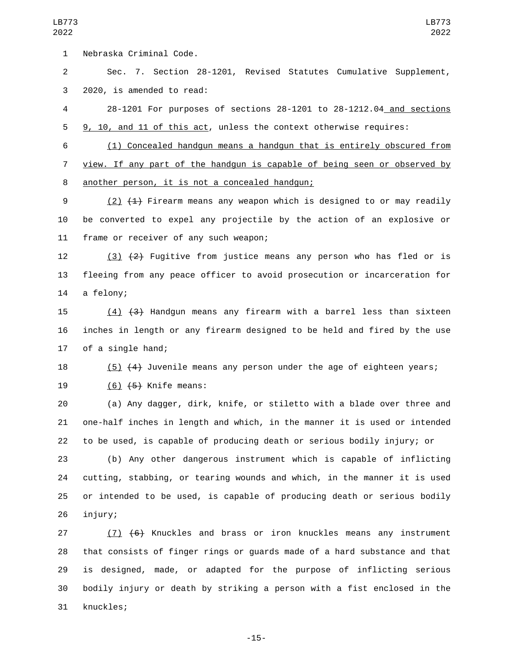1 Nebraska Criminal Code.

 Sec. 7. Section 28-1201, Revised Statutes Cumulative Supplement, 3 2020, is amended to read:

 28-1201 For purposes of sections 28-1201 to 28-1212.04 and sections 9, 10, and 11 of this act, unless the context otherwise requires:

 (1) Concealed handgun means a handgun that is entirely obscured from view. If any part of the handgun is capable of being seen or observed by another person, it is not a concealed handgun;8

 (2) (1) Firearm means any weapon which is designed to or may readily be converted to expel any projectile by the action of an explosive or 11 frame or receiver of any such weapon;

12 (3)  $(2)$  Fugitive from justice means any person who has fled or is fleeing from any peace officer to avoid prosecution or incarceration for 14 a felony;

 (4) (3) Handgun means any firearm with a barrel less than sixteen inches in length or any firearm designed to be held and fired by the use 17 of a single hand;

(5) (4) Juvenile means any person under the age of eighteen years;

19 (6) <del>(5)</del> Knife means:

 (a) Any dagger, dirk, knife, or stiletto with a blade over three and one-half inches in length and which, in the manner it is used or intended to be used, is capable of producing death or serious bodily injury; or

 (b) Any other dangerous instrument which is capable of inflicting cutting, stabbing, or tearing wounds and which, in the manner it is used or intended to be used, is capable of producing death or serious bodily 26 injury;

 (7) (6) Knuckles and brass or iron knuckles means any instrument that consists of finger rings or guards made of a hard substance and that is designed, made, or adapted for the purpose of inflicting serious bodily injury or death by striking a person with a fist enclosed in the 31 knuckles;

-15-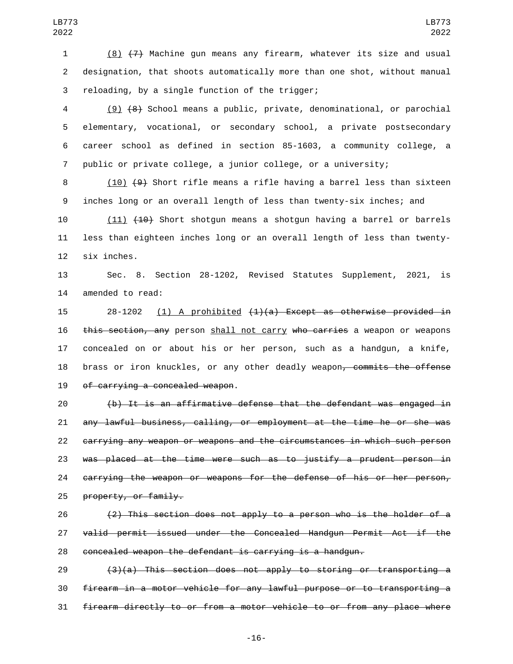(8) (7) Machine gun means any firearm, whatever its size and usual designation, that shoots automatically more than one shot, without manual 3 reloading, by a single function of the trigger;

 (9) (8) School means a public, private, denominational, or parochial elementary, vocational, or secondary school, a private postsecondary career school as defined in section 85-1603, a community college, a public or private college, a junior college, or a university;

8 (10) (9) Short rifle means a rifle having a barrel less than sixteen inches long or an overall length of less than twenty-six inches; and

10 (11) (10) Short shotgun means a shotgun having a barrel or barrels less than eighteen inches long or an overall length of less than twenty-12 six inches.

 Sec. 8. Section 28-1202, Revised Statutes Supplement, 2021, is 14 amended to read:

15 28-1202 (1) A prohibited  $(1)(a)$  Except as otherwise provided in 16 this section, any person shall not carry who carries a weapon or weapons concealed on or about his or her person, such as a handgun, a knife, 18 brass or iron knuckles, or any other deadly weapon, commits the offense 19 of carrying a concealed weapon.

 (b) It is an affirmative defense that the defendant was engaged in any lawful business, calling, or employment at the time he or she was carrying any weapon or weapons and the circumstances in which such person was placed at the time were such as to justify a prudent person in carrying the weapon or weapons for the defense of his or her person, 25 property, or family.

 (2) This section does not apply to a person who is the holder of a valid permit issued under the Concealed Handgun Permit Act if the concealed weapon the defendant is carrying is a handgun.

 $(3)(a)$  This section does not apply to storing or transporting a firearm in a motor vehicle for any lawful purpose or to transporting a firearm directly to or from a motor vehicle to or from any place where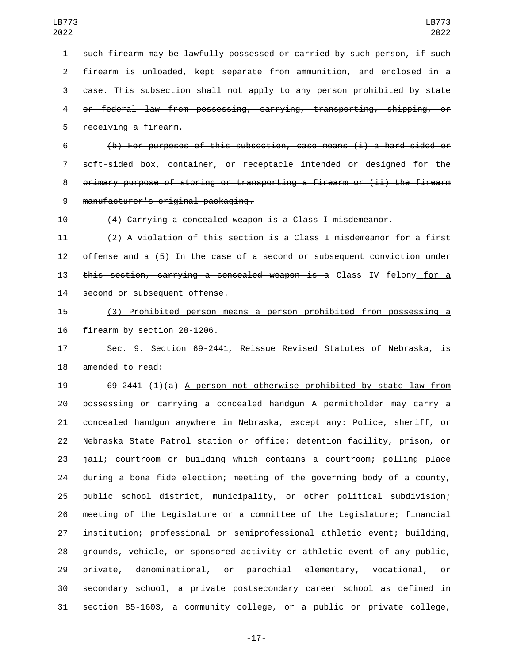such firearm may be lawfully possessed or carried by such person, if such firearm is unloaded, kept separate from ammunition, and enclosed in a case. This subsection shall not apply to any person prohibited by state or federal law from possessing, carrying, transporting, shipping, or 5 receiving a firearm. (b) For purposes of this subsection, case means (i) a hard-sided or

 soft-sided box, container, or receptacle intended or designed for the 8 primary purpose of storing or transporting a firearm or (ii) the firearm manufacturer's original packaging.9

(4) Carrying a concealed weapon is a Class I misdemeanor.

 (2) A violation of this section is a Class I misdemeanor for a first 12 offense and a  $\{5\}$  In the case of a second or subsequent conviction under 13 this section, carrying a concealed weapon is a Class IV felony for a 14 second or subsequent offense.

 (3) Prohibited person means a person prohibited from possessing a 16 firearm by section 28-1206.

 Sec. 9. Section 69-2441, Reissue Revised Statutes of Nebraska, is 18 amended to read:

 69-2441 (1)(a) A person not otherwise prohibited by state law from 20 possessing or carrying a concealed handgun A permitholder may carry a concealed handgun anywhere in Nebraska, except any: Police, sheriff, or Nebraska State Patrol station or office; detention facility, prison, or jail; courtroom or building which contains a courtroom; polling place during a bona fide election; meeting of the governing body of a county, public school district, municipality, or other political subdivision; meeting of the Legislature or a committee of the Legislature; financial institution; professional or semiprofessional athletic event; building, grounds, vehicle, or sponsored activity or athletic event of any public, private, denominational, or parochial elementary, vocational, or secondary school, a private postsecondary career school as defined in section 85-1603, a community college, or a public or private college,

-17-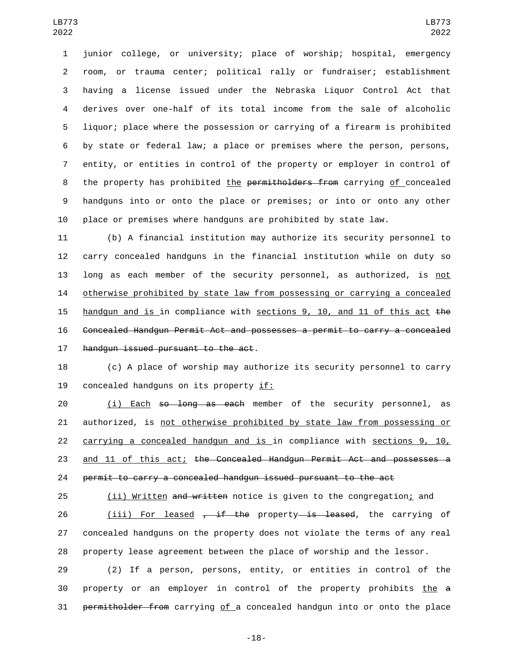junior college, or university; place of worship; hospital, emergency room, or trauma center; political rally or fundraiser; establishment having a license issued under the Nebraska Liquor Control Act that derives over one-half of its total income from the sale of alcoholic liquor; place where the possession or carrying of a firearm is prohibited by state or federal law; a place or premises where the person, persons, entity, or entities in control of the property or employer in control of 8 the property has prohibited the permitholders from carrying of concealed handguns into or onto the place or premises; or into or onto any other place or premises where handguns are prohibited by state law.

 (b) A financial institution may authorize its security personnel to carry concealed handguns in the financial institution while on duty so long as each member of the security personnel, as authorized, is not 14 otherwise prohibited by state law from possessing or carrying a concealed handgun and is in compliance with sections 9, 10, and 11 of this act the Concealed Handgun Permit Act and possesses a permit to carry a concealed 17 handgun issued pursuant to the act.

 (c) A place of worship may authorize its security personnel to carry 19 concealed handguns on its property if:

20 (i) Each <del>so long as each</del> member of the security personnel, as authorized, is not otherwise prohibited by state law from possessing or carrying a concealed handgun and is in compliance with sections 9, 10, 23 and 11 of this act; the Concealed Handgun Permit Act and possesses a permit to carry a concealed handgun issued pursuant to the act

25 (ii) Written and written notice is given to the congregation; and

26 (iii) For leased  $\frac{1}{2}$ ,  $\frac{1}{2}$  the property is leased, the carrying of concealed handguns on the property does not violate the terms of any real property lease agreement between the place of worship and the lessor.

 (2) If a person, persons, entity, or entities in control of the property or an employer in control of the property prohibits the a permitholder from carrying of a concealed handgun into or onto the place

-18-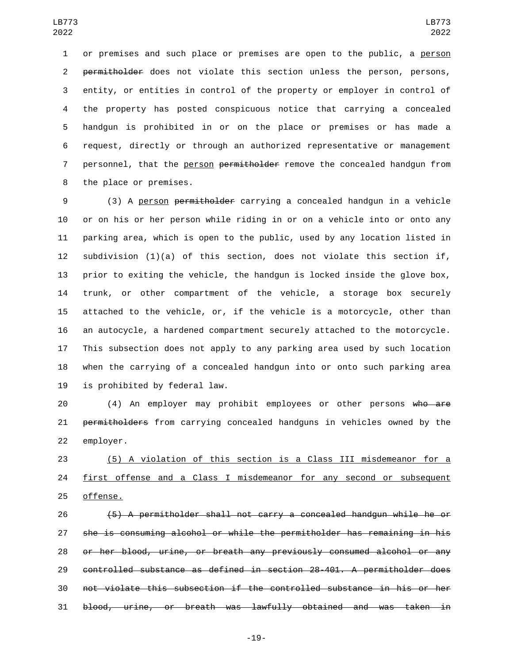or premises and such place or premises are open to the public, a person 2 permitholder does not violate this section unless the person, persons, entity, or entities in control of the property or employer in control of the property has posted conspicuous notice that carrying a concealed handgun is prohibited in or on the place or premises or has made a request, directly or through an authorized representative or management 7 personnel, that the person permitholder remove the concealed handgun from 8 the place or premises.

 (3) A person permitholder carrying a concealed handgun in a vehicle or on his or her person while riding in or on a vehicle into or onto any parking area, which is open to the public, used by any location listed in subdivision (1)(a) of this section, does not violate this section if, prior to exiting the vehicle, the handgun is locked inside the glove box, trunk, or other compartment of the vehicle, a storage box securely attached to the vehicle, or, if the vehicle is a motorcycle, other than an autocycle, a hardened compartment securely attached to the motorcycle. This subsection does not apply to any parking area used by such location when the carrying of a concealed handgun into or onto such parking area 19 is prohibited by federal law.

 (4) An employer may prohibit employees or other persons who are permitholders from carrying concealed handguns in vehicles owned by the 22 employer.

 (5) A violation of this section is a Class III misdemeanor for a 24 first offense and a Class I misdemeanor for any second or subsequent 25 offense.

 (5) A permitholder shall not carry a concealed handgun while he or she is consuming alcohol or while the permitholder has remaining in his or her blood, urine, or breath any previously consumed alcohol or any controlled substance as defined in section 28-401. A permitholder does not violate this subsection if the controlled substance in his or her blood, urine, or breath was lawfully obtained and was taken in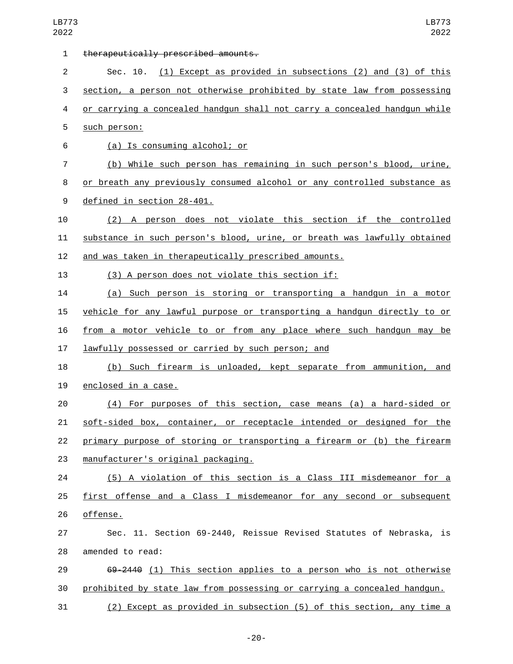| $\mathbf{1}$   | therapeutically prescribed amounts.                                       |
|----------------|---------------------------------------------------------------------------|
| $\overline{2}$ | Sec. 10. (1) Except as provided in subsections (2) and (3) of this        |
| 3              | section, a person not otherwise prohibited by state law from possessing   |
| 4              | or carrying a concealed handgun shall not carry a concealed handgun while |
| 5              | such person:                                                              |
| 6              | (a) Is consuming alcohol; or                                              |
| 7              | (b) While such person has remaining in such person's blood, urine,        |
| 8              | or breath any previously consumed alcohol or any controlled substance as  |
| 9              | defined in section 28-401.                                                |
| 10             | (2) A person does not violate this section if the controlled              |
| 11             | substance in such person's blood, urine, or breath was lawfully obtained  |
| 12             | and was taken in therapeutically prescribed amounts.                      |
| 13             | (3) A person does not violate this section if:                            |
| 14             | (a) Such person is storing or transporting a handgun in a motor           |
| 15             | vehicle for any lawful purpose or transporting a handgun directly to or   |
| 16             | from a motor vehicle to or from any place where such handgun may<br>be    |
| 17             | lawfully possessed or carried by such person; and                         |
| 18             | (b) Such firearm is unloaded, kept separate from ammunition, and          |
| 19             | enclosed in a case.                                                       |
| 20             | (4) For purposes of this section, case means (a) a hard-sided or          |
| 21             | soft-sided box, container, or receptacle intended or designed for the     |
| 22             | primary purpose of storing or transporting a firearm or (b) the firearm   |
| 23             | manufacturer's original packaging.                                        |
| 24             | (5) A violation of this section is a Class III misdemeanor for a          |
| 25             | first offense and a Class I misdemeanor for any second or subsequent      |
| 26             | offense.                                                                  |
| 27             | Sec. 11. Section 69-2440, Reissue Revised Statutes of Nebraska, is        |
| 28             | amended to read:                                                          |
| 29             | 69-2440 (1) This section applies to a person who is not otherwise         |
| 30             | prohibited by state law from possessing or carrying a concealed handgun.  |
| 31             | (2) Except as provided in subsection (5) of this section, any time a      |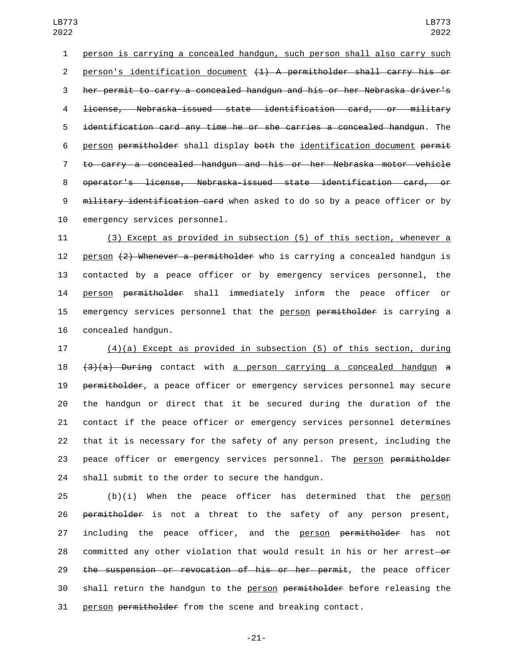1 person is carrying a concealed handgun, such person shall also carry such 2 person's identification document (1) A permitholder shall carry his or 3 her permit to carry a concealed handgun and his or her Nebraska driver's 4 license, Nebraska-issued state identification card, or military 5 identification card any time he or she carries a concealed handgun. The 6 person permitholder shall display both the identification document permit 7 to carry a concealed handgun and his or her Nebraska motor vehicle 8 operator's license, Nebraska-issued state identification card, or 9 military identification card when asked to do so by a peace officer or by 10 emergency services personnel.

11 (3) Except as provided in subsection (5) of this section, whenever a 12 person  $(2)$  Whenever a permitholder who is carrying a concealed handgun is 13 contacted by a peace officer or by emergency services personnel, the 14 person permitholder shall immediately inform the peace officer or 15 emergency services personnel that the person permitholder is carrying a 16 concealed handgun.

 (4)(a) Except as provided in subsection (5) of this section, during  $(3)(a)$  During contact with a person carrying a concealed handgun a permitholder, a peace officer or emergency services personnel may secure the handgun or direct that it be secured during the duration of the contact if the peace officer or emergency services personnel determines that it is necessary for the safety of any person present, including the 23 peace officer or emergency services personnel. The person permitholder 24 shall submit to the order to secure the handgun.

25 (b)(i) When the peace officer has determined that the person 26 permitholder is not a threat to the safety of any person present, 27 including the peace officer, and the person permitholder has not 28 committed any other violation that would result in his or her arrest-or 29 the suspension or revocation of his or her permit, the peace officer 30 shall return the handgun to the person permitholder before releasing the 31 person permitholder from the scene and breaking contact.

-21-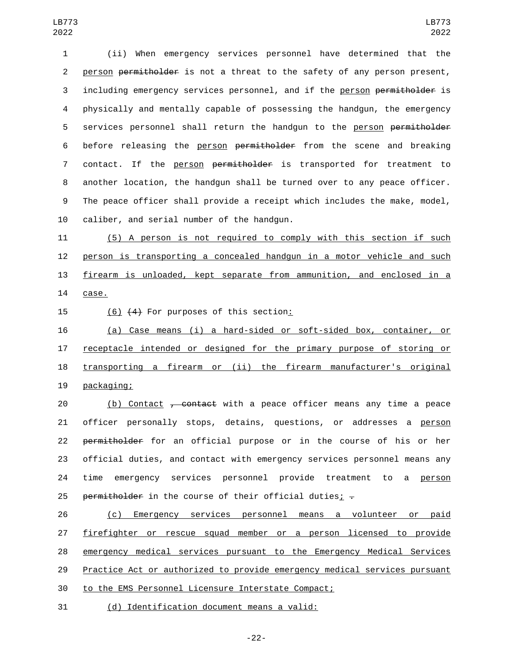1 (ii) When emergency services personnel have determined that the 2 person permitholder is not a threat to the safety of any person present, 3 including emergency services personnel, and if the person permitholder is 4 physically and mentally capable of possessing the handgun, the emergency 5 services personnel shall return the handgun to the person permitholder 6 before releasing the person permitholder from the scene and breaking 7 contact. If the person permitholder is transported for treatment to 8 another location, the handgun shall be turned over to any peace officer. 9 The peace officer shall provide a receipt which includes the make, model, 10 caliber, and serial number of the handgun.

 (5) A person is not required to comply with this section if such person is transporting a concealed handgun in a motor vehicle and such firearm is unloaded, kept separate from ammunition, and enclosed in a 14 case.

15 (6) (4) For purposes of this section:

 (a) Case means (i) a hard-sided or soft-sided box, container, or receptacle intended or designed for the primary purpose of storing or transporting a firearm or (ii) the firearm manufacturer's original 19 packaging;

20 (b) Contact <del>, contact</del> with a peace officer means any time a peace 21 officer personally stops, detains, questions, or addresses a person 22 permitholder for an official purpose or in the course of his or her 23 official duties, and contact with emergency services personnel means any 24 time emergency services personnel provide treatment to a person 25 permitholder in the course of their official duties;  $-$ 

 (c) Emergency services personnel means a volunteer or paid firefighter or rescue squad member or a person licensed to provide emergency medical services pursuant to the Emergency Medical Services Practice Act or authorized to provide emergency medical services pursuant to the EMS Personnel Licensure Interstate Compact;

31 (d) Identification document means a valid: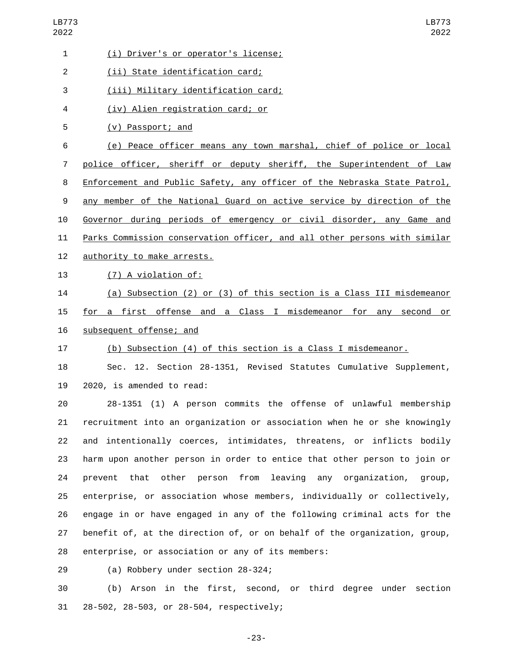| 1              | (i) Driver's or operator's license;                                         |
|----------------|-----------------------------------------------------------------------------|
| $\overline{2}$ | (ii) State identification card;                                             |
| 3              | (iii) Military identification card;                                         |
| 4              | (iv) Alien registration card; or                                            |
| 5              | (v) Passport; and                                                           |
| 6              | (e) Peace officer means any town marshal, chief of police or local          |
| 7              | police officer, sheriff or deputy sheriff, the Superintendent of Law        |
| 8              | Enforcement and Public Safety, any officer of the Nebraska State Patrol,    |
| 9              | any member of the National Guard on active service by direction of the      |
| 10             | Governor during periods of emergency or civil disorder, any Game and        |
| 11             | Parks Commission conservation officer, and all other persons with similar   |
| 12             | authority to make arrests.                                                  |
| 13             | (7) A violation of:                                                         |
| 14             | (a) Subsection (2) or (3) of this section is a Class III misdemeanor        |
| 15             | for a first offense and a Class I misdemeanor for any second or             |
| 16             | subsequent offense; and                                                     |
| 17             | (b) Subsection (4) of this section is a Class I misdemeanor.                |
| 18             | Sec. 12. Section 28-1351, Revised Statutes Cumulative Supplement,           |
| 19             | 2020, is amended to read:                                                   |
| 20             | 28-1351 (1) A person commits the offense of unlawful membership             |
| 21             | recruitment into an organization or association when he or she knowingly    |
| 22             | and intentionally coerces, intimidates, threatens, or inflicts bodily       |
| 23             | harm upon another person in order to entice that other person to join or    |
| 24             | that<br>person from<br>leaving any organization, group,<br>prevent<br>other |
| 25             | enterprise, or association whose members, individually or collectively,     |
| 26             | engage in or have engaged in any of the following criminal acts for the     |
| 27             | benefit of, at the direction of, or on behalf of the organization, group,   |
| 28             | enterprise, or association or any of its members:                           |
| 29             | (a) Robbery under section 28-324;                                           |
|                |                                                                             |

30 (b) Arson in the first, second, or third degree under section 31 28-502, 28-503, or 28-504, respectively;

-23-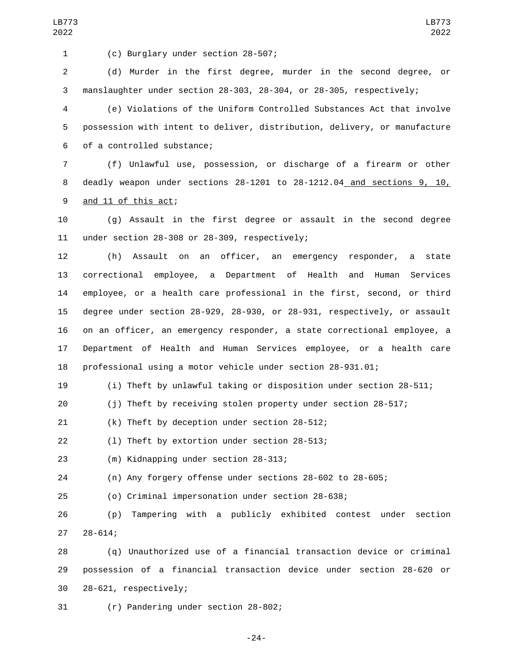(c) Burglary under section 28-507;1

 (d) Murder in the first degree, murder in the second degree, or manslaughter under section 28-303, 28-304, or 28-305, respectively;

 (e) Violations of the Uniform Controlled Substances Act that involve possession with intent to deliver, distribution, delivery, or manufacture 6 of a controlled substance;

 (f) Unlawful use, possession, or discharge of a firearm or other deadly weapon under sections 28-1201 to 28-1212.04 and sections 9, 10, 9 and 11 of this act;

 (g) Assault in the first degree or assault in the second degree 11 under section  $28-308$  or  $28-309$ , respectively;

 (h) Assault on an officer, an emergency responder, a state correctional employee, a Department of Health and Human Services employee, or a health care professional in the first, second, or third degree under section 28-929, 28-930, or 28-931, respectively, or assault on an officer, an emergency responder, a state correctional employee, a Department of Health and Human Services employee, or a health care professional using a motor vehicle under section 28-931.01;

(i) Theft by unlawful taking or disposition under section 28-511;

(j) Theft by receiving stolen property under section 28-517;

(k) Theft by deception under section 28-512;

(1) Theft by extortion under section 28-513;

23 (m) Kidnapping under section 28-313;

(n) Any forgery offense under sections 28-602 to 28-605;

(o) Criminal impersonation under section 28-638;

 (p) Tampering with a publicly exhibited contest under section 28-614;

 (q) Unauthorized use of a financial transaction device or criminal possession of a financial transaction device under section 28-620 or 30 28-621, respectively;

(r) Pandering under section 28-802;

-24-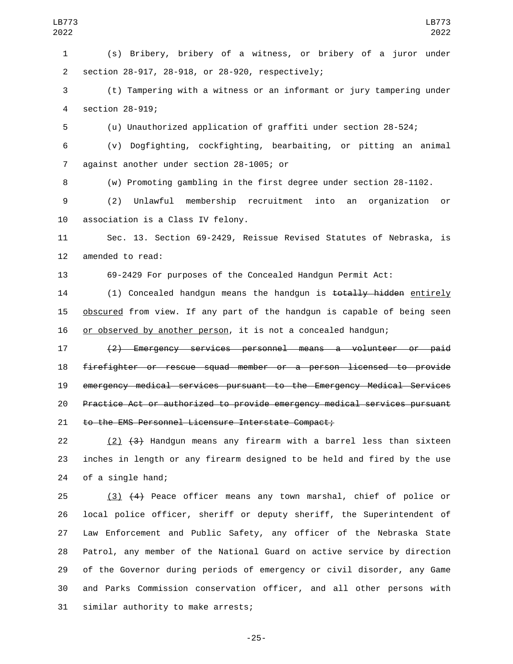(s) Bribery, bribery of a witness, or bribery of a juror under section 28-917, 28-918, or 28-920, respectively;2

LB773 

 (t) Tampering with a witness or an informant or jury tampering under 4 section 28-919;

(u) Unauthorized application of graffiti under section 28-524;

 (v) Dogfighting, cockfighting, bearbaiting, or pitting an animal 7 against another under section 28-1005; or

(w) Promoting gambling in the first degree under section 28-1102.

 (2) Unlawful membership recruitment into an organization or 10 association is a Class IV felony.

 Sec. 13. Section 69-2429, Reissue Revised Statutes of Nebraska, is 12 amended to read:

69-2429 For purposes of the Concealed Handgun Permit Act:

14 (1) Concealed handgun means the handgun is totally hidden entirely **obscured** from view. If any part of the handgun is capable of being seen 16 or observed by another person, it is not a concealed handgun;

 (2) Emergency services personnel means a volunteer or paid firefighter or rescue squad member or a person licensed to provide emergency medical services pursuant to the Emergency Medical Services Practice Act or authorized to provide emergency medical services pursuant 21 to the EMS Personnel Licensure Interstate Compact;

 (2) (3) Handgun means any firearm with a barrel less than sixteen inches in length or any firearm designed to be held and fired by the use 24 of a single hand;

 (3) (4) Peace officer means any town marshal, chief of police or local police officer, sheriff or deputy sheriff, the Superintendent of Law Enforcement and Public Safety, any officer of the Nebraska State Patrol, any member of the National Guard on active service by direction of the Governor during periods of emergency or civil disorder, any Game and Parks Commission conservation officer, and all other persons with 31 similar authority to make arrests;

-25-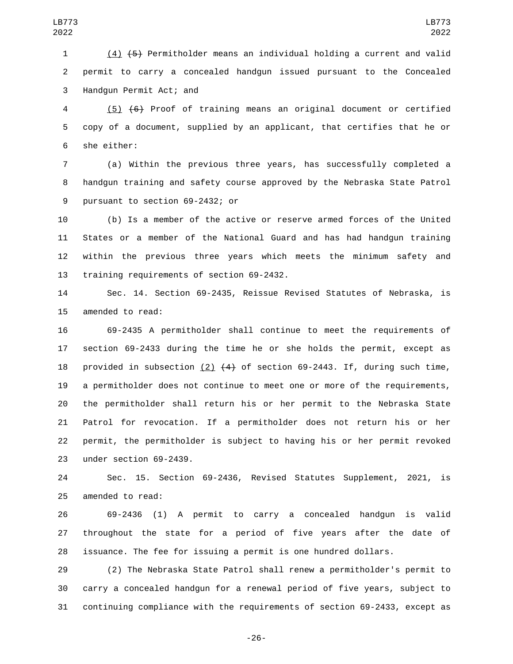(4) (5) Permitholder means an individual holding a current and valid permit to carry a concealed handgun issued pursuant to the Concealed 3 Handgun Permit Act; and

 (5) (6) Proof of training means an original document or certified copy of a document, supplied by an applicant, that certifies that he or 6 she either:

 (a) Within the previous three years, has successfully completed a handgun training and safety course approved by the Nebraska State Patrol 9 pursuant to section 69-2432; or

 (b) Is a member of the active or reserve armed forces of the United States or a member of the National Guard and has had handgun training within the previous three years which meets the minimum safety and 13 training requirements of section 69-2432.

 Sec. 14. Section 69-2435, Reissue Revised Statutes of Nebraska, is 15 amended to read:

 69-2435 A permitholder shall continue to meet the requirements of section 69-2433 during the time he or she holds the permit, except as 18 provided in subsection (2)  $(4)$  of section 69-2443. If, during such time, a permitholder does not continue to meet one or more of the requirements, the permitholder shall return his or her permit to the Nebraska State Patrol for revocation. If a permitholder does not return his or her permit, the permitholder is subject to having his or her permit revoked 23 under section 69-2439.

 Sec. 15. Section 69-2436, Revised Statutes Supplement, 2021, is 25 amended to read:

 69-2436 (1) A permit to carry a concealed handgun is valid throughout the state for a period of five years after the date of issuance. The fee for issuing a permit is one hundred dollars.

 (2) The Nebraska State Patrol shall renew a permitholder's permit to carry a concealed handgun for a renewal period of five years, subject to continuing compliance with the requirements of section 69-2433, except as

-26-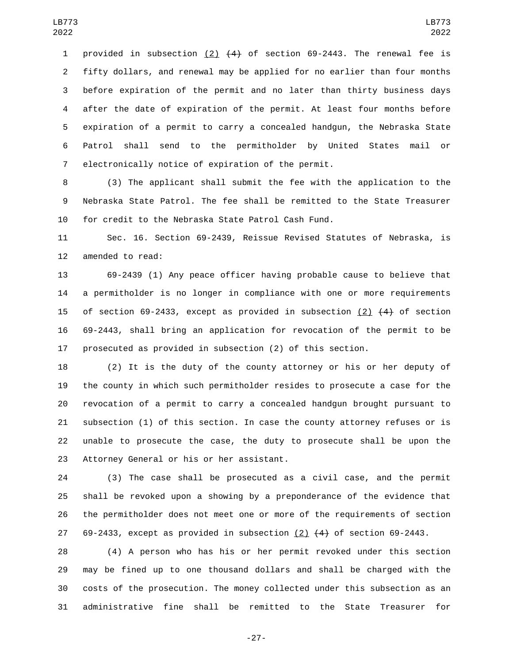1 provided in subsection (2)  $(4)$  of section 69-2443. The renewal fee is fifty dollars, and renewal may be applied for no earlier than four months before expiration of the permit and no later than thirty business days after the date of expiration of the permit. At least four months before expiration of a permit to carry a concealed handgun, the Nebraska State Patrol shall send to the permitholder by United States mail or 7 electronically notice of expiration of the permit.

 (3) The applicant shall submit the fee with the application to the Nebraska State Patrol. The fee shall be remitted to the State Treasurer for credit to the Nebraska State Patrol Cash Fund.

 Sec. 16. Section 69-2439, Reissue Revised Statutes of Nebraska, is 12 amended to read:

 69-2439 (1) Any peace officer having probable cause to believe that a permitholder is no longer in compliance with one or more requirements 15 of section 69-2433, except as provided in subsection  $(2)$   $(4)$  of section 69-2443, shall bring an application for revocation of the permit to be prosecuted as provided in subsection (2) of this section.

 (2) It is the duty of the county attorney or his or her deputy of the county in which such permitholder resides to prosecute a case for the revocation of a permit to carry a concealed handgun brought pursuant to subsection (1) of this section. In case the county attorney refuses or is unable to prosecute the case, the duty to prosecute shall be upon the 23 Attorney General or his or her assistant.

 (3) The case shall be prosecuted as a civil case, and the permit shall be revoked upon a showing by a preponderance of the evidence that the permitholder does not meet one or more of the requirements of section 27 69-2433, except as provided in subsection  $(2)$   $(4)$  of section 69-2443.

 (4) A person who has his or her permit revoked under this section may be fined up to one thousand dollars and shall be charged with the costs of the prosecution. The money collected under this subsection as an administrative fine shall be remitted to the State Treasurer for

-27-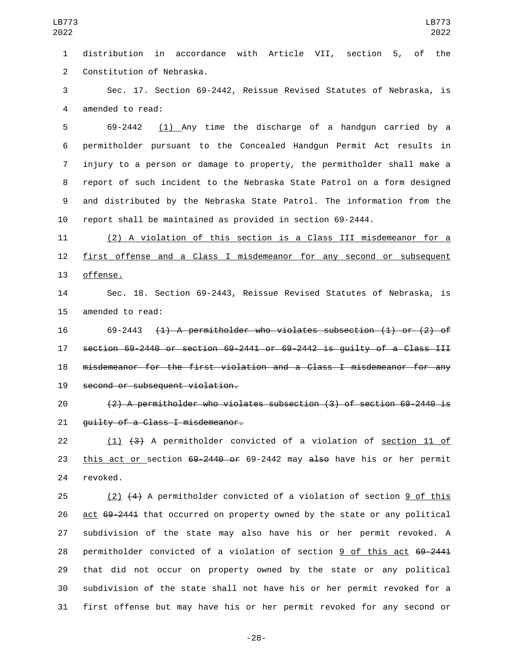distribution in accordance with Article VII, section 5, of the 2 Constitution of Nebraska.

 Sec. 17. Section 69-2442, Reissue Revised Statutes of Nebraska, is 4 amended to read:

 69-2442 (1) Any time the discharge of a handgun carried by a permitholder pursuant to the Concealed Handgun Permit Act results in injury to a person or damage to property, the permitholder shall make a report of such incident to the Nebraska State Patrol on a form designed and distributed by the Nebraska State Patrol. The information from the report shall be maintained as provided in section 69-2444.

 (2) A violation of this section is a Class III misdemeanor for a first offense and a Class I misdemeanor for any second or subsequent 13 offense.

 Sec. 18. Section 69-2443, Reissue Revised Statutes of Nebraska, is 15 amended to read:

 69-2443 (1) A permitholder who violates subsection (1) or (2) of section 69-2440 or section 69-2441 or 69-2442 is guilty of a Class III misdemeanor for the first violation and a Class I misdemeanor for any 19 second or subsequent violation.

 (2) A permitholder who violates subsection (3) of section 69-2440 is 21 guilty of a Class I misdemeanor.

 (1) (3) A permitholder convicted of a violation of section 11 of 23 this act or section 69-2440 or 69-2442 may also have his or her permit 24 revoked.

 (2) (4) A permitholder convicted of a violation of section 9 of this act 69-2441 that occurred on property owned by the state or any political subdivision of the state may also have his or her permit revoked. A permitholder convicted of a violation of section 9 of this act 69-2441 that did not occur on property owned by the state or any political subdivision of the state shall not have his or her permit revoked for a first offense but may have his or her permit revoked for any second or

-28-